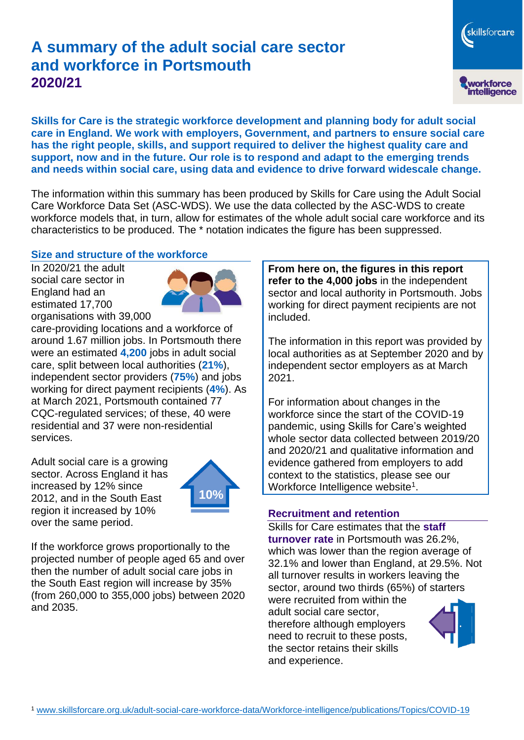# **A summary of the adult social care sector and workforce in Portsmouth 2020/21**

workforce<br>intelligence

skillsforcare

**Skills for Care is the strategic workforce development and planning body for adult social care in England. We work with employers, Government, and partners to ensure social care has the right people, skills, and support required to deliver the highest quality care and support, now and in the future. Our role is to respond and adapt to the emerging trends and needs within social care, using data and evidence to drive forward widescale change.**

The information within this summary has been produced by Skills for Care using the Adult Social Care Workforce Data Set (ASC-WDS). We use the data collected by the ASC-WDS to create workforce models that, in turn, allow for estimates of the whole adult social care workforce and its characteristics to be produced. The \* notation indicates the figure has been suppressed.

#### **Size and structure of the workforce**

In 2020/21 the adult social care sector in England had an estimated 17,700 organisations with 39,000



care-providing locations and a workforce of around 1.67 million jobs. In Portsmouth there were an estimated **4,200** jobs in adult social care, split between local authorities (**21%**), independent sector providers (**75%**) and jobs working for direct payment recipients (**4%**). As at March 2021, Portsmouth contained 77 CQC-regulated services; of these, 40 were residential and 37 were non-residential services.

Adult social care is a growing sector. Across England it has increased by 12% since 2012, and in the South East region it increased by 10% over the same period.



If the workforce grows proportionally to the projected number of people aged 65 and over then the number of adult social care jobs in the South East region will increase by 35% (from 260,000 to 355,000 jobs) between 2020 and 2035.

**From here on, the figures in this report refer to the 4,000 jobs** in the independent sector and local authority in Portsmouth. Jobs working for direct payment recipients are not included.

The information in this report was provided by local authorities as at September 2020 and by independent sector employers as at March 2021.

For information about changes in the workforce since the start of the COVID-19 pandemic, using Skills for Care's weighted whole sector data collected between 2019/20 and 2020/21 and qualitative information and evidence gathered from employers to add context to the statistics, please see our Workforce Intelligence website<sup>1</sup>.

#### **Recruitment and retention**

Skills for Care estimates that the **staff turnover rate** in Portsmouth was 26.2%, which was lower than the region average of 32.1% and lower than England, at 29.5%. Not all turnover results in workers leaving the sector, around two thirds (65%) of starters

were recruited from within the adult social care sector, therefore although employers need to recruit to these posts, the sector retains their skills and experience.

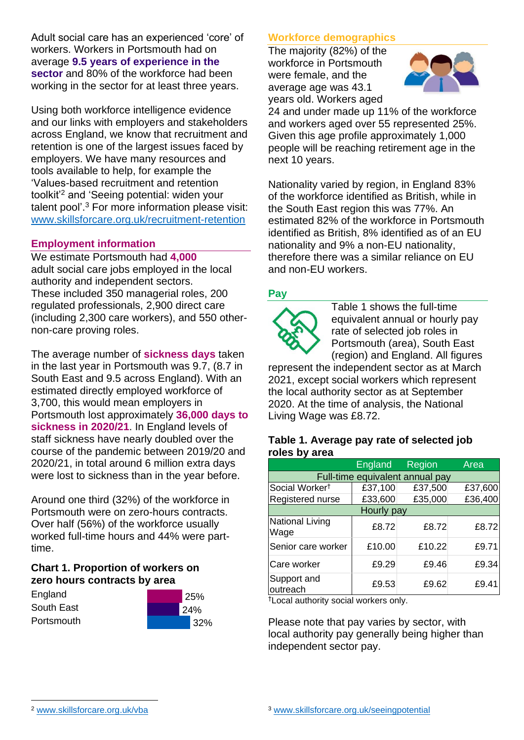Adult social care has an experienced 'core' of workers. Workers in Portsmouth had on average **9.5 years of experience in the sector** and 80% of the workforce had been working in the sector for at least three years.

Using both workforce intelligence evidence and our links with employers and stakeholders across England, we know that recruitment and retention is one of the largest issues faced by employers. We have many resources and tools available to help, for example the 'Values-based recruitment and retention toolkit'<sup>2</sup> and 'Seeing potential: widen your talent pool'. <sup>3</sup> For more information please visit: [www.skillsforcare.org.uk/recruitment-retention](http://www.skillsforcare.org.uk/recruitment-retention)

#### **Employment information**

We estimate Portsmouth had **4,000** adult social care jobs employed in the local authority and independent sectors. These included 350 managerial roles, 200 regulated professionals, 2,900 direct care (including 2,300 care workers), and 550 othernon-care proving roles.

The average number of **sickness days** taken in the last year in Portsmouth was 9.7, (8.7 in South East and 9.5 across England). With an estimated directly employed workforce of 3,700, this would mean employers in Portsmouth lost approximately **36,000 days to sickness in 2020/21**. In England levels of staff sickness have nearly doubled over the course of the pandemic between 2019/20 and 2020/21, in total around 6 million extra days were lost to sickness than in the year before.

Around one third (32%) of the workforce in Portsmouth were on zero-hours contracts. Over half (56%) of the workforce usually worked full-time hours and 44% were parttime.

### **Chart 1. Proportion of workers on zero hours contracts by area**

**England** South East **Portsmouth** 



### **Workforce demographics**

The majority (82%) of the workforce in Portsmouth were female, and the average age was 43.1 years old. Workers aged



24 and under made up 11% of the workforce and workers aged over 55 represented 25%. Given this age profile approximately 1,000 people will be reaching retirement age in the next 10 years.

Nationality varied by region, in England 83% of the workforce identified as British, while in the South East region this was 77%. An estimated 82% of the workforce in Portsmouth identified as British, 8% identified as of an EU nationality and 9% a non-EU nationality, therefore there was a similar reliance on EU and non-EU workers.

### **Pay**



Table 1 shows the full-time equivalent annual or hourly pay rate of selected job roles in Portsmouth (area), South East (region) and England. All figures

represent the independent sector as at March 2021, except social workers which represent the local authority sector as at September 2020. At the time of analysis, the National Living Wage was £8.72.

#### **Table 1. Average pay rate of selected job roles by area**

|                                 | <b>England</b> | <b>Region</b> | Area    |
|---------------------------------|----------------|---------------|---------|
| Full-time equivalent annual pay |                |               |         |
| Social Worker <sup>t</sup>      | £37,100        | £37,500       | £37,600 |
| Registered nurse                | £33,600        | £35,000       | £36,400 |
| Hourly pay                      |                |               |         |
| National Living<br>Wage         | £8.72          | £8.72         | £8.72   |
| Senior care worker              | £10.00         | £10.22        | £9.71   |
| Care worker                     | £9.29          | £9.46         | £9.34   |
| Support and<br>outreach         | £9.53          | £9.62         | £9.41   |

†Local authority social workers only.

Please note that pay varies by sector, with local authority pay generally being higher than independent sector pay.

[www.skillsforcare.org.uk/vba](http://www.skillsforcare.org.uk/vba)